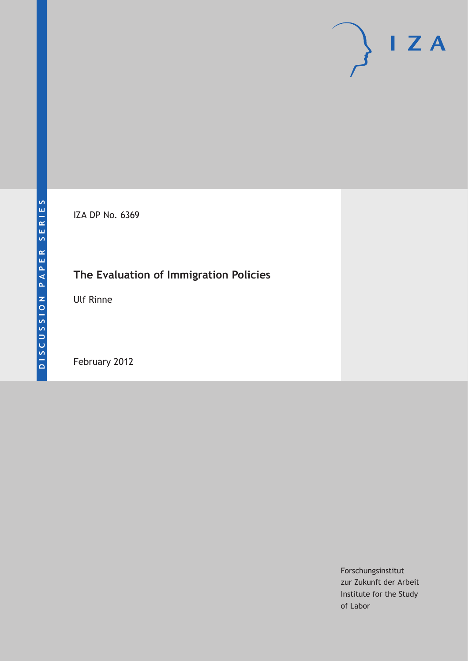IZA DP No. 6369

# **The Evaluation of Immigration Policies**

Ulf Rinne

February 2012

Forschungsinstitut zur Zukunft der Arbeit Institute for the Study of Labor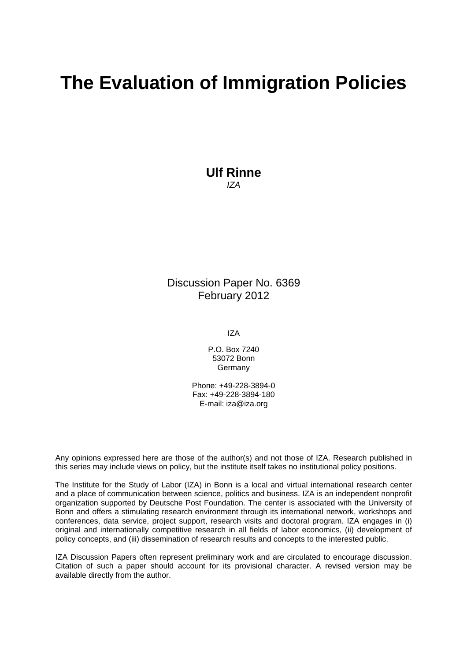# **The Evaluation of Immigration Policies**

**Ulf Rinne**  *IZA* 

Discussion Paper No. 6369 February 2012

IZA

P.O. Box 7240 53072 Bonn Germany

Phone: +49-228-3894-0 Fax: +49-228-3894-180 E-mail: [iza@iza.org](mailto:iza@iza.org)

Any opinions expressed here are those of the author(s) and not those of IZA. Research published in this series may include views on policy, but the institute itself takes no institutional policy positions.

The Institute for the Study of Labor (IZA) in Bonn is a local and virtual international research center and a place of communication between science, politics and business. IZA is an independent nonprofit organization supported by Deutsche Post Foundation. The center is associated with the University of Bonn and offers a stimulating research environment through its international network, workshops and conferences, data service, project support, research visits and doctoral program. IZA engages in (i) original and internationally competitive research in all fields of labor economics, (ii) development of policy concepts, and (iii) dissemination of research results and concepts to the interested public.

IZA Discussion Papers often represent preliminary work and are circulated to encourage discussion. Citation of such a paper should account for its provisional character. A revised version may be available directly from the author.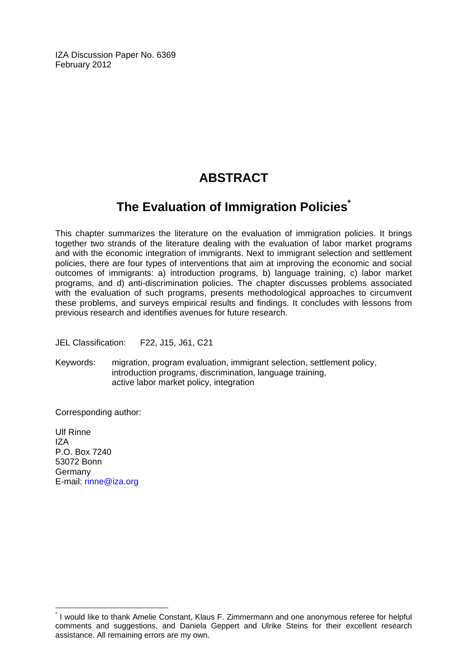IZA Discussion Paper No. 6369 February 2012

# **ABSTRACT**

# **The Evaluation of Immigration Policies[\\*](#page-2-0)**

This chapter summarizes the literature on the evaluation of immigration policies. It brings together two strands of the literature dealing with the evaluation of labor market programs and with the economic integration of immigrants. Next to immigrant selection and settlement policies, there are four types of interventions that aim at improving the economic and social outcomes of immigrants: a) introduction programs, b) language training, c) labor market programs, and d) anti-discrimination policies. The chapter discusses problems associated with the evaluation of such programs, presents methodological approaches to circumvent these problems, and surveys empirical results and findings. It concludes with lessons from previous research and identifies avenues for future research.

JEL Classification: F22, J15, J61, C21

Keywords: migration, program evaluation, immigrant selection, settlement policy, introduction programs, discrimination, language training, active labor market policy, integration

Corresponding author:

Ulf Rinne IZA P.O. Box 7240 53072 Bonn Germany E-mail: [rinne@iza.org](mailto:rinne@iza.org) 

 $\overline{a}$ 

<span id="page-2-0"></span><sup>\*</sup> I would like to thank Amelie Constant, Klaus F. Zimmermann and one anonymous referee for helpful comments and suggestions, and Daniela Geppert and Ulrike Steins for their excellent research assistance. All remaining errors are my own.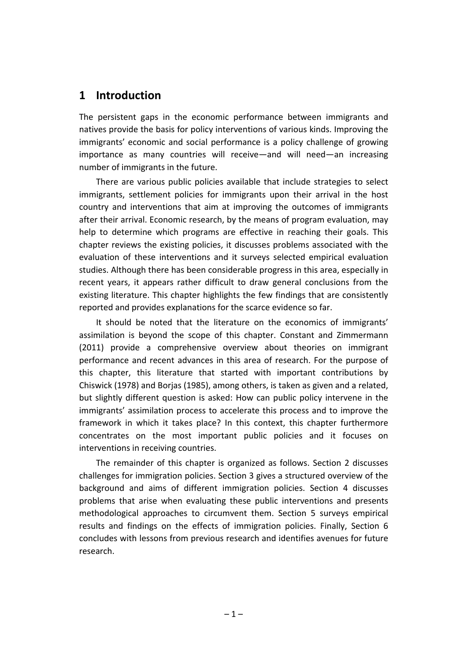### **1 Introduction**

The persistent gaps in the economic performance between immigrants and natives provide the basis for policy interventions of various kinds. Improving the immigrants' economic and social performance is a policy challenge of growing importance as many countries will receive—and will need—an increasing number of immigrants in the future.

There are various public policies available that include strategies to select immigrants, settlement policies for immigrants upon their arrival in the host country and interventions that aim at improving the outcomes of immigrants after their arrival. Economic research, by the means of program evaluation, may help to determine which programs are effective in reaching their goals. This chapter reviews the existing policies, it discusses problems associated with the evaluation of these interventions and it surveys selected empirical evaluation studies. Although there has been considerable progress in this area, especially in recent years, it appears rather difficult to draw general conclusions from the existing literature. This chapter highlights the few findings that are consistently reported and provides explanations for the scarce evidence so far.

It should be noted that the literature on the economics of immigrants' assimilation is beyond the scope of this chapter. Constant and Zimmermann (2011) provide a comprehensive overview about theories on immigrant performance and recent advances in this area of research. For the purpose of this chapter, this literature that started with important contributions by Chiswick (1978) and Borjas (1985), among others, is taken as given and a related, but slightly different question is asked: How can public policy intervene in the immigrants' assimilation process to accelerate this process and to improve the framework in which it takes place? In this context, this chapter furthermore concentrates on the most important public policies and it focuses on interventions in receiving countries.

The remainder of this chapter is organized as follows. Section 2 discusses challenges for immigration policies. Section 3 gives a structured overview of the background and aims of different immigration policies. Section 4 discusses problems that arise when evaluating these public interventions and presents methodological approaches to circumvent them. Section 5 surveys empirical results and findings on the effects of immigration policies. Finally, Section 6 concludes with lessons from previous research and identifies avenues for future research.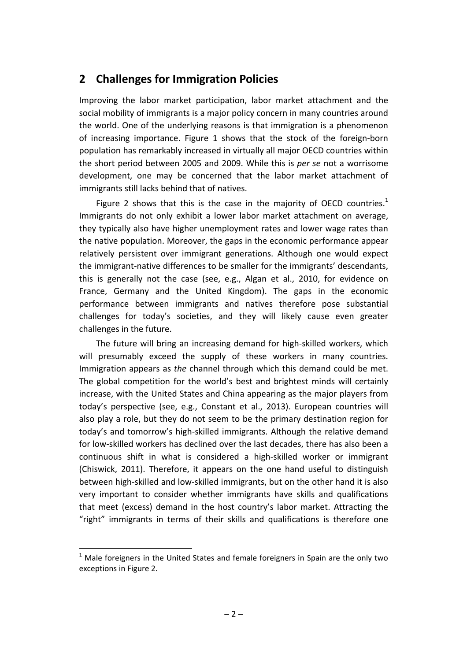### **2 Challenges for Immigration Policies**

Improving the labor market participation, labor market attachment and the social mobility of immigrants is a major policy concern in many countries around the world. One of the underlying reasons is that immigration is a phenomenon of increasing importance. Figure 1 shows that the stock of the foreign‐born population has remarkably increased in virtually all major OECD countries within the short period between 2005 and 2009. While this is *per se* not a worrisome development, one may be concerned that the labor market attachment of immigrants still lacks behind that of natives.

Figure 2 shows that this is the case in the majority of OECD countries.<sup>[1](#page-4-0)</sup> Immigrants do not only exhibit a lower labor market attachment on average, they typically also have higher unemployment rates and lower wage rates than the native population. Moreover, the gaps in the economic performance appear relatively persistent over immigrant generations. Although one would expect the immigrant‐native differences to be smaller for the immigrants' descendants, this is generally not the case (see, e.g., Algan et al., 2010, for evidence on France, Germany and the United Kingdom). The gaps in the economic performance between immigrants and natives therefore pose substantial challenges for today's societies, and they will likely cause even greater challenges in the future.

The future will bring an increasing demand for high‐skilled workers, which will presumably exceed the supply of these workers in many countries. Immigration appears as *the* channel through which this demand could be met. The global competition for the world's best and brightest minds will certainly increase, with the United States and China appearing as the major players from today's perspective (see, e.g., Constant et al., 2013). European countries will also play a role, but they do not seem to be the primary destination region for today's and tomorrow's high‐skilled immigrants. Although the relative demand for low‐skilled workers has declined over the last decades, there has also been a continuous shift in what is considered a high‐skilled worker or immigrant (Chiswick, 2011). Therefore, it appears on the one hand useful to distinguish between high‐skilled and low‐skilled immigrants, but on the other hand it is also very important to consider whether immigrants have skills and qualifications that meet (excess) demand in the host country's labor market. Attracting the "right" immigrants in terms of their skills and qualifications is therefore one

 $\overline{a}$ 

<span id="page-4-0"></span> $1$  Male foreigners in the United States and female foreigners in Spain are the only two exceptions in Figure 2.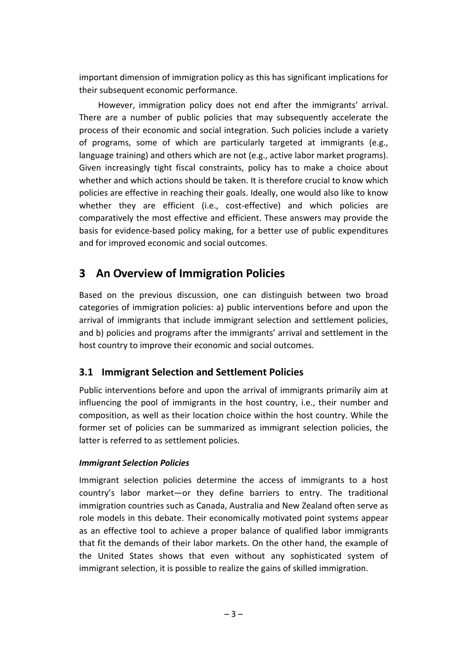important dimension of immigration policy as this has significant implications for their subsequent economic performance.

However, immigration policy does not end after the immigrants' arrival. There are a number of public policies that may subsequently accelerate the process of their economic and social integration. Such policies include a variety of programs, some of which are particularly targeted at immigrants (e.g., language training) and others which are not (e.g., active labor market programs). Given increasingly tight fiscal constraints, policy has to make a choice about whether and which actions should be taken. It is therefore crucial to know which policies are effective in reaching their goals. Ideally, one would also like to know whether they are efficient (i.e., cost-effective) and which policies are comparatively the most effective and efficient. These answers may provide the basis for evidence‐based policy making, for a better use of public expenditures and for improved economic and social outcomes.

## **3 An Overview of Immigration Policies**

Based on the previous discussion, one can distinguish between two broad categories of immigration policies: a) public interventions before and upon the arrival of immigrants that include immigrant selection and settlement policies, and b) policies and programs after the immigrants' arrival and settlement in the host country to improve their economic and social outcomes.

### **3.1 Immigrant Selection and Settlement Policies**

Public interventions before and upon the arrival of immigrants primarily aim at influencing the pool of immigrants in the host country, i.e., their number and composition, as well as their location choice within the host country. While the former set of policies can be summarized as immigrant selection policies, the latter is referred to as settlement policies.

### *Immigrant Selection Policies*

Immigrant selection policies determine the access of immigrants to a host country's labor market—or they define barriers to entry. The traditional immigration countries such as Canada, Australia and New Zealand often serve as role models in this debate. Their economically motivated point systems appear as an effective tool to achieve a proper balance of qualified labor immigrants that fit the demands of their labor markets. On the other hand, the example of the United States shows that even without any sophisticated system of immigrant selection, it is possible to realize the gains of skilled immigration.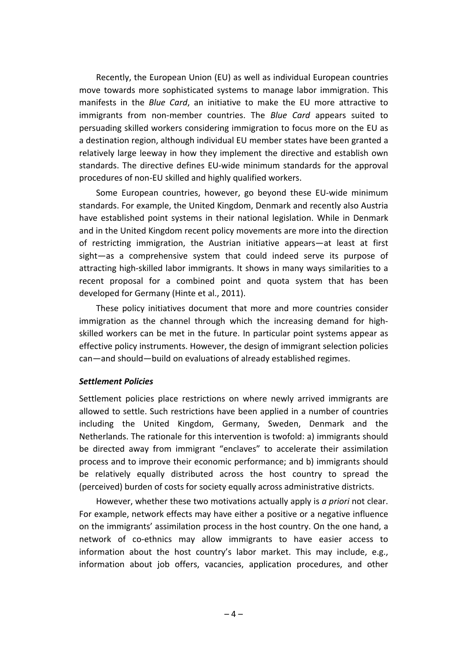Recently, the European Union (EU) as well as individual European countries move towards more sophisticated systems to manage labor immigration. This manifests in the *Blue Card*, an initiative to make the EU more attractive to immigrants from non‐member countries. The *Blue Card* appears suited to persuading skilled workers considering immigration to focus more on the EU as a destination region, although individual EU member states have been granted a relatively large leeway in how they implement the directive and establish own standards. The directive defines EU‐wide minimum standards for the approval procedures of non‐EU skilled and highly qualified workers.

Some European countries, however, go beyond these EU-wide minimum standards. For example, the United Kingdom, Denmark and recently also Austria have established point systems in their national legislation. While in Denmark and in the United Kingdom recent policy movements are more into the direction of restricting immigration, the Austrian initiative appears—at least at first sight—as a comprehensive system that could indeed serve its purpose of attracting high‐skilled labor immigrants. It shows in many ways similarities to a recent proposal for a combined point and quota system that has been developed for Germany (Hinte et al., 2011).

These policy initiatives document that more and more countries consider immigration as the channel through which the increasing demand for highskilled workers can be met in the future. In particular point systems appear as effective policy instruments. However, the design of immigrant selection policies can—and should—build on evaluations of already established regimes.

#### *Settlement Policies*

Settlement policies place restrictions on where newly arrived immigrants are allowed to settle. Such restrictions have been applied in a number of countries including the United Kingdom, Germany, Sweden, Denmark and the Netherlands. The rationale for this intervention is twofold: a) immigrants should be directed away from immigrant "enclaves" to accelerate their assimilation process and to improve their economic performance; and b) immigrants should be relatively equally distributed across the host country to spread the (perceived) burden of costs for society equally across administrative districts.

However, whether these two motivations actually apply is *a priori* not clear. For example, network effects may have either a positive or a negative influence on the immigrants' assimilation process in the host country. On the one hand, a network of co‐ethnics may allow immigrants to have easier access to information about the host country's labor market. This may include, e.g., information about job offers, vacancies, application procedures, and other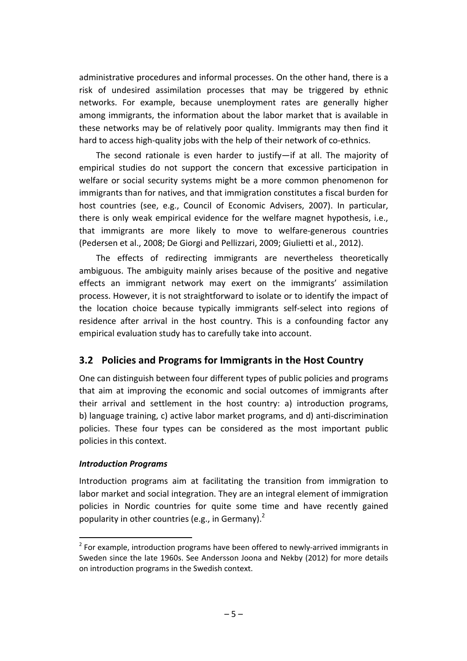administrative procedures and informal processes. On the other hand, there is a risk of undesired assimilation processes that may be triggered by ethnic networks. For example, because unemployment rates are generally higher among immigrants, the information about the labor market that is available in these networks may be of relatively poor quality. Immigrants may then find it hard to access high-quality jobs with the help of their network of co-ethnics.

The second rationale is even harder to justify—if at all. The majority of empirical studies do not support the concern that excessive participation in welfare or social security systems might be a more common phenomenon for immigrants than for natives, and that immigration constitutes a fiscal burden for host countries (see, e.g., Council of Economic Advisers, 2007). In particular, there is only weak empirical evidence for the welfare magnet hypothesis, i.e., that immigrants are more likely to move to welfare‐generous countries (Pedersen et al., 2008; De Giorgi and Pellizzari, 2009; Giulietti et al., 2012).

The effects of redirecting immigrants are nevertheless theoretically ambiguous. The ambiguity mainly arises because of the positive and negative effects an immigrant network may exert on the immigrants' assimilation process. However, it is not straightforward to isolate or to identify the impact of the location choice because typically immigrants self‐select into regions of residence after arrival in the host country. This is a confounding factor any empirical evaluation study has to carefully take into account.

### **3.2 Policies and Programs for Immigrants in the Host Country**

One can distinguish between four different types of public policies and programs that aim at improving the economic and social outcomes of immigrants after their arrival and settlement in the host country: a) introduction programs, b) language training, c) active labor market programs, and d) anti‐discrimination policies. These four types can be considered as the most important public policies in this context.

#### *Introduction Programs*

 $\overline{a}$ 

Introduction programs aim at facilitating the transition from immigration to labor market and social integration. They are an integral element of immigration policies in Nordic countries for quite some time and have recently gained popularity in other countries (e.g., in Germany).<sup>[2](#page-7-0)</sup>

<span id="page-7-0"></span> $2$  For example, introduction programs have been offered to newly-arrived immigrants in Sweden since the late 1960s. See Andersson Joona and Nekby (2012) for more details on introduction programs in the Swedish context.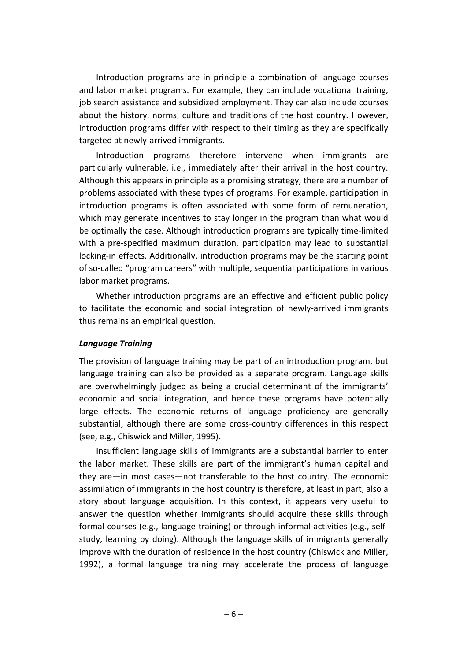Introduction programs are in principle a combination of language courses and labor market programs. For example, they can include vocational training, job search assistance and subsidized employment. They can also include courses about the history, norms, culture and traditions of the host country. However, introduction programs differ with respect to their timing as they are specifically targeted at newly‐arrived immigrants.

Introduction programs therefore intervene when immigrants are particularly vulnerable, i.e., immediately after their arrival in the host country. Although this appears in principle as a promising strategy, there are a number of problems associated with these types of programs. For example, participation in introduction programs is often associated with some form of remuneration, which may generate incentives to stay longer in the program than what would be optimally the case. Although introduction programs are typically time‐limited with a pre-specified maximum duration, participation may lead to substantial locking‐in effects. Additionally, introduction programs may be the starting point of so-called "program careers" with multiple, sequential participations in various labor market programs.

Whether introduction programs are an effective and efficient public policy to facilitate the economic and social integration of newly‐arrived immigrants thus remains an empirical question.

#### *Language Training*

The provision of language training may be part of an introduction program, but language training can also be provided as a separate program. Language skills are overwhelmingly judged as being a crucial determinant of the immigrants' economic and social integration, and hence these programs have potentially large effects. The economic returns of language proficiency are generally substantial, although there are some cross‐country differences in this respect (see, e.g., Chiswick and Miller, 1995).

Insufficient language skills of immigrants are a substantial barrier to enter the labor market. These skills are part of the immigrant's human capital and they are—in most cases—not transferable to the host country. The economic assimilation of immigrants in the host country is therefore, at least in part, also a story about language acquisition. In this context, it appears very useful to answer the question whether immigrants should acquire these skills through formal courses (e.g., language training) or through informal activities (e.g., self‐ study, learning by doing). Although the language skills of immigrants generally improve with the duration of residence in the host country (Chiswick and Miller, 1992), a formal language training may accelerate the process of language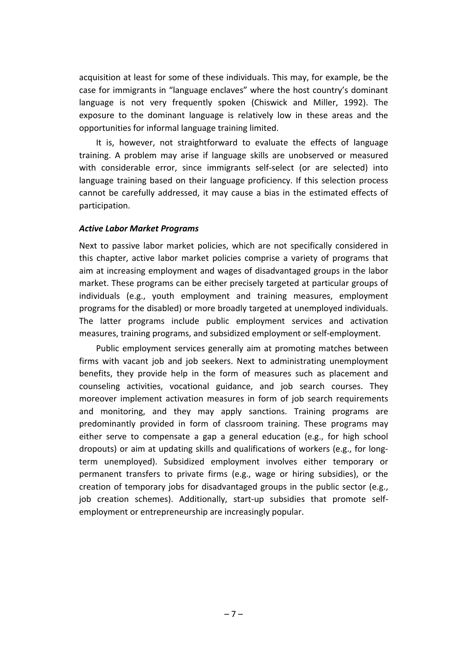acquisition at least for some of these individuals. This may, for example, be the case for immigrants in "language enclaves" where the host country's dominant language is not very frequently spoken (Chiswick and Miller, 1992). The exposure to the dominant language is relatively low in these areas and the opportunities for informal language training limited.

It is, however, not straightforward to evaluate the effects of language training. A problem may arise if language skills are unobserved or measured with considerable error, since immigrants self-select (or are selected) into language training based on their language proficiency. If this selection process cannot be carefully addressed, it may cause a bias in the estimated effects of participation.

#### *Active Labor Market Programs*

Next to passive labor market policies, which are not specifically considered in this chapter, active labor market policies comprise a variety of programs that aim at increasing employment and wages of disadvantaged groups in the labor market. These programs can be either precisely targeted at particular groups of individuals (e.g., youth employment and training measures, employment programs for the disabled) or more broadly targeted at unemployed individuals. The latter programs include public employment services and activation measures, training programs, and subsidized employment or self‐employment.

Public employment services generally aim at promoting matches between firms with vacant job and job seekers. Next to administrating unemployment benefits, they provide help in the form of measures such as placement and counseling activities, vocational guidance, and job search courses. They moreover implement activation measures in form of job search requirements and monitoring, and they may apply sanctions. Training programs are predominantly provided in form of classroom training. These programs may either serve to compensate a gap a general education (e.g., for high school dropouts) or aim at updating skills and qualifications of workers (e.g., for long‐ term unemployed). Subsidized employment involves either temporary or permanent transfers to private firms (e.g., wage or hiring subsidies), or the creation of temporary jobs for disadvantaged groups in the public sector (e.g., job creation schemes). Additionally, start-up subsidies that promote selfemployment or entrepreneurship are increasingly popular.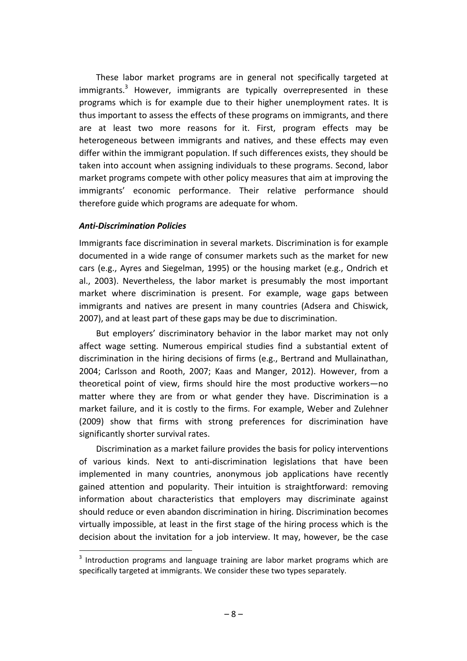These labor market programs are in general not specifically targeted at  $imm$ igrants.<sup>3</sup> However, immigrants are typically overrepresented in these programs which is for example due to their higher unemployment rates. It is thus important to assess the effects of these programs on immigrants, and there are at least two more reasons for it. First, program effects may be heterogeneous between immigrants and natives, and these effects may even differ within the immigrant population. If such differences exists, they should be taken into account when assigning individuals to these programs. Second, labor market programs compete with other policy measures that aim at improving the immigrants' economic performance. Their relative performance should therefore guide which programs are adequate for whom.

#### *Anti‐Discrimination Policies*

 $\overline{a}$ 

Immigrants face discrimination in several markets. Discrimination is for example documented in a wide range of consumer markets such as the market for new cars (e.g., Ayres and Siegelman, 1995) or the housing market (e.g., Ondrich et al., 2003). Nevertheless, the labor market is presumably the most important market where discrimination is present. For example, wage gaps between immigrants and natives are present in many countries (Adsera and Chiswick, 2007), and at least part of these gaps may be due to discrimination.

But employers' discriminatory behavior in the labor market may not only affect wage setting. Numerous empirical studies find a substantial extent of discrimination in the hiring decisions of firms (e.g., Bertrand and Mullainathan, 2004; Carlsson and Rooth, 2007; Kaas and Manger, 2012). However, from a theoretical point of view, firms should hire the most productive workers—no matter where they are from or what gender they have. Discrimination is a market failure, and it is costly to the firms. For example, Weber and Zulehner (2009) show that firms with strong preferences for discrimination have significantly shorter survival rates.

Discrimination as a market failure provides the basis for policy interventions of various kinds. Next to anti‐discrimination legislations that have been implemented in many countries, anonymous job applications have recently gained attention and popularity. Their intuition is straightforward: removing information about characteristics that employers may discriminate against should reduce or even abandon discrimination in hiring. Discrimination becomes virtually impossible, at least in the first stage of the hiring process which is the decision about the invitation for a job interview. It may, however, be the case

<span id="page-10-0"></span><sup>&</sup>lt;sup>3</sup> Introduction programs and language training are labor market programs which are specifically targeted at immigrants. We consider these two types separately.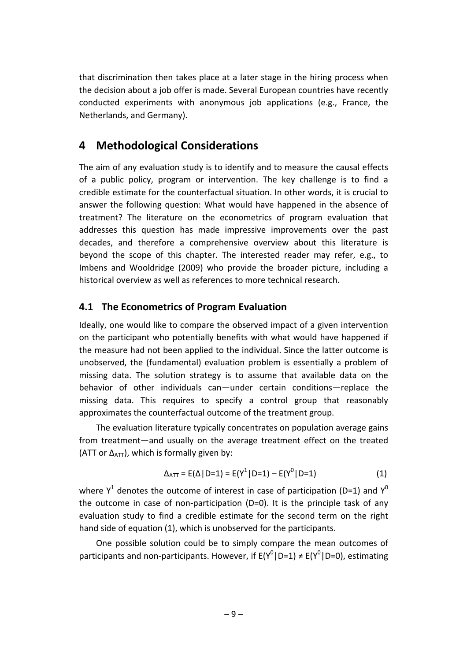that discrimination then takes place at a later stage in the hiring process when the decision about a job offer is made. Several European countries have recently conducted experiments with anonymous job applications (e.g., France, the Netherlands, and Germany).

### **4 Methodological Considerations**

The aim of any evaluation study is to identify and to measure the causal effects of a public policy, program or intervention. The key challenge is to find a credible estimate for the counterfactual situation. In other words, it is crucial to answer the following question: What would have happened in the absence of treatment? The literature on the econometrics of program evaluation that addresses this question has made impressive improvements over the past decades, and therefore a comprehensive overview about this literature is beyond the scope of this chapter. The interested reader may refer, e.g., to Imbens and Wooldridge (2009) who provide the broader picture, including a historical overview as well as references to more technical research.

### **4.1 The Econometrics of Program Evaluation**

Ideally, one would like to compare the observed impact of a given intervention on the participant who potentially benefits with what would have happened if the measure had not been applied to the individual. Since the latter outcome is unobserved, the (fundamental) evaluation problem is essentially a problem of missing data. The solution strategy is to assume that available data on the behavior of other individuals can—under certain conditions—replace the missing data. This requires to specify a control group that reasonably approximates the counterfactual outcome of the treatment group.

The evaluation literature typically concentrates on population average gains from treatment—and usually on the average treatment effect on the treated (ATT or  $\Delta_{ATT}$ ), which is formally given by:

$$
\Delta_{ATT} = E(\Delta | D=1) = E(Y^1 | D=1) - E(Y^0 | D=1)
$$
 (1)

where  $Y^1$  denotes the outcome of interest in case of participation (D=1) and  $Y^0$ the outcome in case of non-participation  $(D=0)$ . It is the principle task of any evaluation study to find a credible estimate for the second term on the right hand side of equation (1), which is unobserved for the participants.

One possible solution could be to simply compare the mean outcomes of participants and non-participants. However, if  $E(Y^0|D=1) \neq E(Y^0|D=0)$ , estimating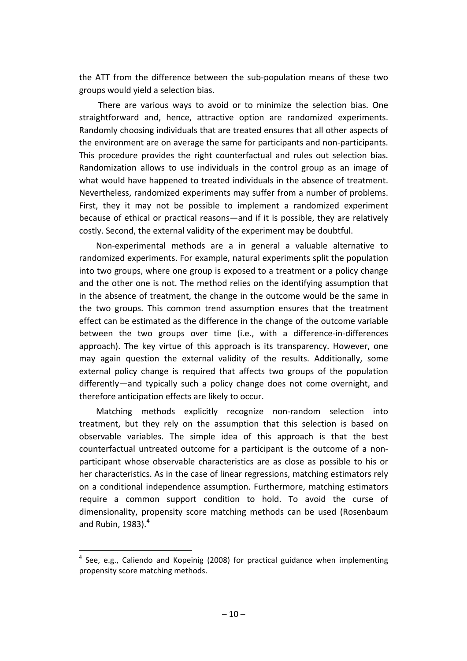the ATT from the difference between the sub‐population means of these two groups would yield a selection bias.

There are various ways to avoid or to minimize the selection bias. One straightforward and, hence, attractive option are randomized experiments. Randomly choosing individuals that are treated ensures that all other aspects of the environment are on average the same for participants and non‐participants. This procedure provides the right counterfactual and rules out selection bias. Randomization allows to use individuals in the control group as an image of what would have happened to treated individuals in the absence of treatment. Nevertheless, randomized experiments may suffer from a number of problems. First, they it may not be possible to implement a randomized experiment because of ethical or practical reasons—and if it is possible, they are relatively costly. Second, the external validity of the experiment may be doubtful.

Non‐experimental methods are a in general a valuable alternative to randomized experiments. For example, natural experiments split the population into two groups, where one group is exposed to a treatment or a policy change and the other one is not. The method relies on the identifying assumption that in the absence of treatment, the change in the outcome would be the same in the two groups. This common trend assumption ensures that the treatment effect can be estimated as the difference in the change of the outcome variable between the two groups over time (i.e., with a difference-in-differences approach). The key virtue of this approach is its transparency. However, one may again question the external validity of the results. Additionally, some external policy change is required that affects two groups of the population differently—and typically such a policy change does not come overnight, and therefore anticipation effects are likely to occur.

Matching methods explicitly recognize non-random selection into treatment, but they rely on the assumption that this selection is based on observable variables. The simple idea of this approach is that the best counterfactual untreated outcome for a participant is the outcome of a non‐ participant whose observable characteristics are as close as possible to his or her characteristics. As in the case of linear regressions, matching estimators rely on a conditional independence assumption. Furthermore, matching estimators require a common support condition to hold. To avoid the curse of dimensionality, propensity score matching methods can be used (Rosenbaum and Rubin, 1983). $^4$  $^4$ 

 $\overline{a}$ 

<span id="page-12-0"></span> $4$  See, e.g., Caliendo and Kopeinig (2008) for practical guidance when implementing propensity score matching methods.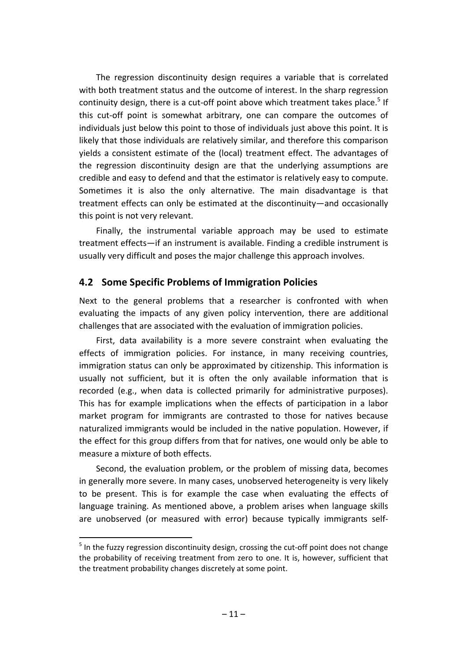The regression discontinuity design requires a variable that is correlated with both treatment status and the outcome of interest. In the sharp regression continuity design, there is a cut-off point above which treatment takes place.<sup>[5](#page-13-0)</sup> If this cut‐off point is somewhat arbitrary, one can compare the outcomes of individuals just below this point to those of individuals just above this point. It is likely that those individuals are relatively similar, and therefore this comparison yields a consistent estimate of the (local) treatment effect. The advantages of the regression discontinuity design are that the underlying assumptions are credible and easy to defend and that the estimator is relatively easy to compute. Sometimes it is also the only alternative. The main disadvantage is that treatment effects can only be estimated at the discontinuity—and occasionally this point is not very relevant.

Finally, the instrumental variable approach may be used to estimate treatment effects—if an instrument is available. Finding a credible instrument is usually very difficult and poses the major challenge this approach involves.

### **4.2 Some Specific Problems of Immigration Policies**

Next to the general problems that a researcher is confronted with when evaluating the impacts of any given policy intervention, there are additional challenges that are associated with the evaluation of immigration policies.

First, data availability is a more severe constraint when evaluating the effects of immigration policies. For instance, in many receiving countries, immigration status can only be approximated by citizenship. This information is usually not sufficient, but it is often the only available information that is recorded (e.g., when data is collected primarily for administrative purposes). This has for example implications when the effects of participation in a labor market program for immigrants are contrasted to those for natives because naturalized immigrants would be included in the native population. However, if the effect for this group differs from that for natives, one would only be able to measure a mixture of both effects.

Second, the evaluation problem, or the problem of missing data, becomes in generally more severe. In many cases, unobserved heterogeneity is very likely to be present. This is for example the case when evaluating the effects of language training. As mentioned above, a problem arises when language skills are unobserved (or measured with error) because typically immigrants self‐

 $\overline{a}$ 

<span id="page-13-0"></span> $5$  In the fuzzy regression discontinuity design, crossing the cut-off point does not change the probability of receiving treatment from zero to one. It is, however, sufficient that the treatment probability changes discretely at some point.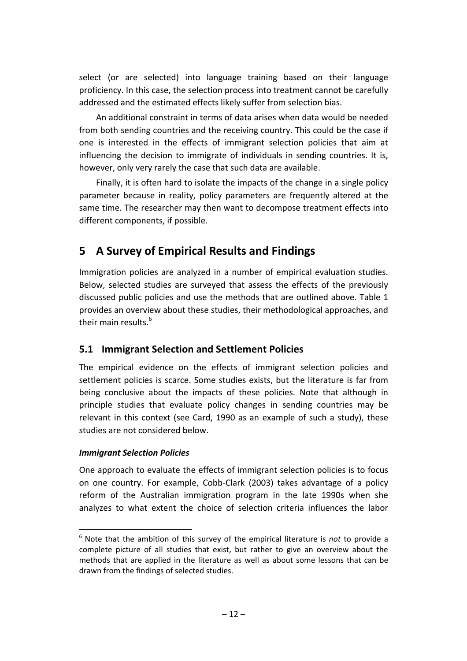select (or are selected) into language training based on their language proficiency. In this case, the selection process into treatment cannot be carefully addressed and the estimated effects likely suffer from selection bias.

An additional constraint in terms of data arises when data would be needed from both sending countries and the receiving country. This could be the case if one is interested in the effects of immigrant selection policies that aim at influencing the decision to immigrate of individuals in sending countries. It is, however, only very rarely the case that such data are available.

Finally, it is often hard to isolate the impacts of the change in a single policy parameter because in reality, policy parameters are frequently altered at the same time. The researcher may then want to decompose treatment effects into different components, if possible.

# **5 A Survey of Empirical Results and Findings**

Immigration policies are analyzed in a number of empirical evaluation studies. Below, selected studies are surveyed that assess the effects of the previously discussed public policies and use the methods that are outlined above. Table 1 provides an overview about these studies, their methodological approaches, and their main results.<sup>[6](#page-14-0)</sup>

### **5.1 Immigrant Selection and Settlement Policies**

The empirical evidence on the effects of immigrant selection policies and settlement policies is scarce. Some studies exists, but the literature is far from being conclusive about the impacts of these policies. Note that although in principle studies that evaluate policy changes in sending countries may be relevant in this context (see Card, 1990 as an example of such a study), these studies are not considered below.

### *Immigrant Selection Policies*

 $\overline{a}$ 

One approach to evaluate the effects of immigrant selection policies is to focus on one country. For example, Cobb‐Clark (2003) takes advantage of a policy reform of the Australian immigration program in the late 1990s when she analyzes to what extent the choice of selection criteria influences the labor

<span id="page-14-0"></span><sup>6</sup> Note that the ambition of this survey of the empirical literature is *not* to provide a complete picture of all studies that exist, but rather to give an overview about the methods that are applied in the literature as well as about some lessons that can be drawn from the findings of selected studies.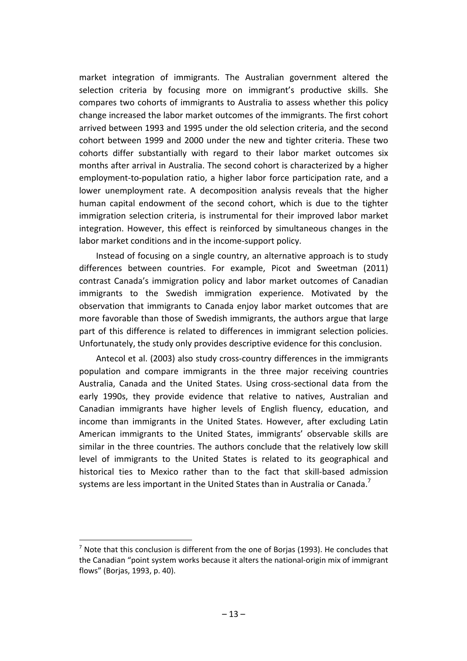market integration of immigrants. The Australian government altered the selection criteria by focusing more on immigrant's productive skills. She compares two cohorts of immigrants to Australia to assess whether this policy change increased the labor market outcomes of the immigrants. The first cohort arrived between 1993 and 1995 under the old selection criteria, and the second cohort between 1999 and 2000 under the new and tighter criteria. These two cohorts differ substantially with regard to their labor market outcomes six months after arrival in Australia. The second cohort is characterized by a higher employment-to-population ratio, a higher labor force participation rate, and a lower unemployment rate. A decomposition analysis reveals that the higher human capital endowment of the second cohort, which is due to the tighter immigration selection criteria, is instrumental for their improved labor market integration. However, this effect is reinforced by simultaneous changes in the labor market conditions and in the income‐support policy.

Instead of focusing on a single country, an alternative approach is to study differences between countries. For example, Picot and Sweetman (2011) contrast Canada's immigration policy and labor market outcomes of Canadian immigrants to the Swedish immigration experience. Motivated by the observation that immigrants to Canada enjoy labor market outcomes that are more favorable than those of Swedish immigrants, the authors argue that large part of this difference is related to differences in immigrant selection policies. Unfortunately, the study only provides descriptive evidence for this conclusion.

Antecol et al. (2003) also study cross‐country differences in the immigrants population and compare immigrants in the three major receiving countries Australia, Canada and the United States. Using cross‐sectional data from the early 1990s, they provide evidence that relative to natives, Australian and Canadian immigrants have higher levels of English fluency, education, and income than immigrants in the United States. However, after excluding Latin American immigrants to the United States, immigrants' observable skills are similar in the three countries. The authors conclude that the relatively low skill level of immigrants to the United States is related to its geographical and historical ties to Mexico rather than to the fact that skill‐based admission systems are less important in the United States than in Australia or Canada.<sup>[7](#page-15-0)</sup>

 $\overline{a}$ 

<span id="page-15-0"></span> $<sup>7</sup>$  Note that this conclusion is different from the one of Borjas (1993). He concludes that</sup> the Canadian "point system works because it alters the national‐origin mix of immigrant flows" (Borjas, 1993, p. 40).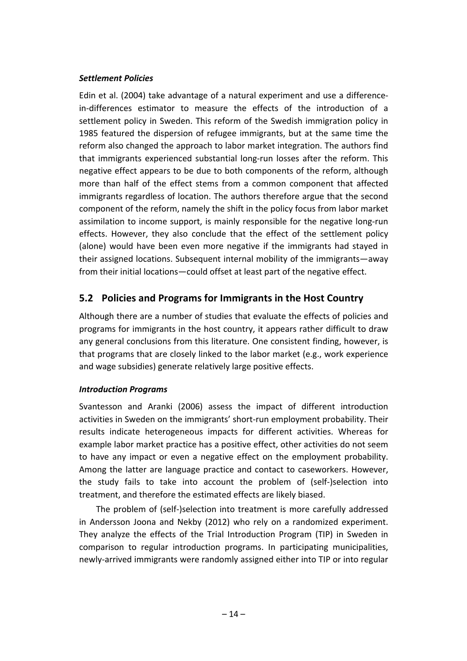### *Settlement Policies*

Edin et al. (2004) take advantage of a natural experiment and use a difference‐ in-differences estimator to measure the effects of the introduction of a settlement policy in Sweden. This reform of the Swedish immigration policy in 1985 featured the dispersion of refugee immigrants, but at the same time the reform also changed the approach to labor market integration. The authors find that immigrants experienced substantial long‐run losses after the reform. This negative effect appears to be due to both components of the reform, although more than half of the effect stems from a common component that affected immigrants regardless of location. The authors therefore argue that the second component of the reform, namely the shift in the policy focus from labor market assimilation to income support, is mainly responsible for the negative long‐run effects. However, they also conclude that the effect of the settlement policy (alone) would have been even more negative if the immigrants had stayed in their assigned locations. Subsequent internal mobility of the immigrants—away from their initial locations—could offset at least part of the negative effect.

### **5.2 Policies and Programs for Immigrants in the Host Country**

Although there are a number of studies that evaluate the effects of policies and programs for immigrants in the host country, it appears rather difficult to draw any general conclusions from this literature. One consistent finding, however, is that programs that are closely linked to the labor market (e.g., work experience and wage subsidies) generate relatively large positive effects.

### *Introduction Programs*

Svantesson and Aranki (2006) assess the impact of different introduction activities in Sweden on the immigrants' short‐run employment probability. Their results indicate heterogeneous impacts for different activities. Whereas for example labor market practice has a positive effect, other activities do not seem to have any impact or even a negative effect on the employment probability. Among the latter are language practice and contact to caseworkers. However, the study fails to take into account the problem of (self‐)selection into treatment, and therefore the estimated effects are likely biased.

The problem of (self‐)selection into treatment is more carefully addressed in Andersson Joona and Nekby (2012) who rely on a randomized experiment. They analyze the effects of the Trial Introduction Program (TIP) in Sweden in comparison to regular introduction programs. In participating municipalities, newly‐arrived immigrants were randomly assigned either into TIP or into regular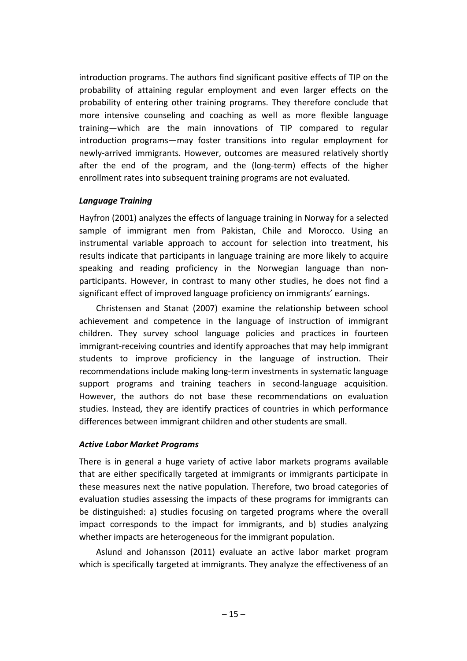introduction programs. The authors find significant positive effects of TIP on the probability of attaining regular employment and even larger effects on the probability of entering other training programs. They therefore conclude that more intensive counseling and coaching as well as more flexible language training—which are the main innovations of TIP compared to regular introduction programs—may foster transitions into regular employment for newly‐arrived immigrants. However, outcomes are measured relatively shortly after the end of the program, and the (long‐term) effects of the higher enrollment rates into subsequent training programs are not evaluated.

#### *Language Training*

Hayfron (2001) analyzes the effects of language training in Norway for a selected sample of immigrant men from Pakistan, Chile and Morocco. Using an instrumental variable approach to account for selection into treatment, his results indicate that participants in language training are more likely to acquire speaking and reading proficiency in the Norwegian language than nonparticipants. However, in contrast to many other studies, he does not find a significant effect of improved language proficiency on immigrants' earnings.

Christensen and Stanat (2007) examine the relationship between school achievement and competence in the language of instruction of immigrant children. They survey school language policies and practices in fourteen immigrant‐receiving countries and identify approaches that may help immigrant students to improve proficiency in the language of instruction. Their recommendations include making long‐term investments in systematic language support programs and training teachers in second-language acquisition. However, the authors do not base these recommendations on evaluation studies. Instead, they are identify practices of countries in which performance differences between immigrant children and other students are small.

### *Active Labor Market Programs*

There is in general a huge variety of active labor markets programs available that are either specifically targeted at immigrants or immigrants participate in these measures next the native population. Therefore, two broad categories of evaluation studies assessing the impacts of these programs for immigrants can be distinguished: a) studies focusing on targeted programs where the overall impact corresponds to the impact for immigrants, and b) studies analyzing whether impacts are heterogeneous for the immigrant population.

Aslund and Johansson (2011) evaluate an active labor market program which is specifically targeted at immigrants. They analyze the effectiveness of an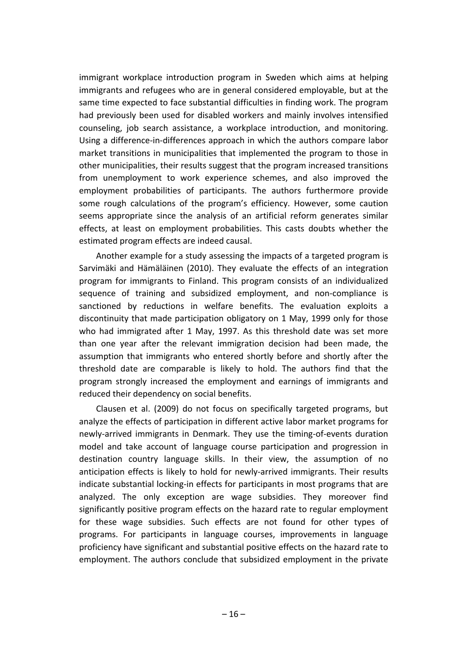immigrant workplace introduction program in Sweden which aims at helping immigrants and refugees who are in general considered employable, but at the same time expected to face substantial difficulties in finding work. The program had previously been used for disabled workers and mainly involves intensified counseling, job search assistance, a workplace introduction, and monitoring. Using a difference‐in‐differences approach in which the authors compare labor market transitions in municipalities that implemented the program to those in other municipalities, their results suggest that the program increased transitions from unemployment to work experience schemes, and also improved the employment probabilities of participants. The authors furthermore provide some rough calculations of the program's efficiency. However, some caution seems appropriate since the analysis of an artificial reform generates similar effects, at least on employment probabilities. This casts doubts whether the estimated program effects are indeed causal.

Another example for a study assessing the impacts of a targeted program is Sarvimäki and Hämäläinen (2010). They evaluate the effects of an integration program for immigrants to Finland. This program consists of an individualized sequence of training and subsidized employment, and non-compliance is sanctioned by reductions in welfare benefits. The evaluation exploits a discontinuity that made participation obligatory on 1 May, 1999 only for those who had immigrated after 1 May, 1997. As this threshold date was set more than one year after the relevant immigration decision had been made, the assumption that immigrants who entered shortly before and shortly after the threshold date are comparable is likely to hold. The authors find that the program strongly increased the employment and earnings of immigrants and reduced their dependency on social benefits.

Clausen et al. (2009) do not focus on specifically targeted programs, but analyze the effects of participation in different active labor market programs for newly‐arrived immigrants in Denmark. They use the timing‐of‐events duration model and take account of language course participation and progression in destination country language skills. In their view, the assumption of no anticipation effects is likely to hold for newly-arrived immigrants. Their results indicate substantial locking‐in effects for participants in most programs that are analyzed. The only exception are wage subsidies. They moreover find significantly positive program effects on the hazard rate to regular employment for these wage subsidies. Such effects are not found for other types of programs. For participants in language courses, improvements in language proficiency have significant and substantial positive effects on the hazard rate to employment. The authors conclude that subsidized employment in the private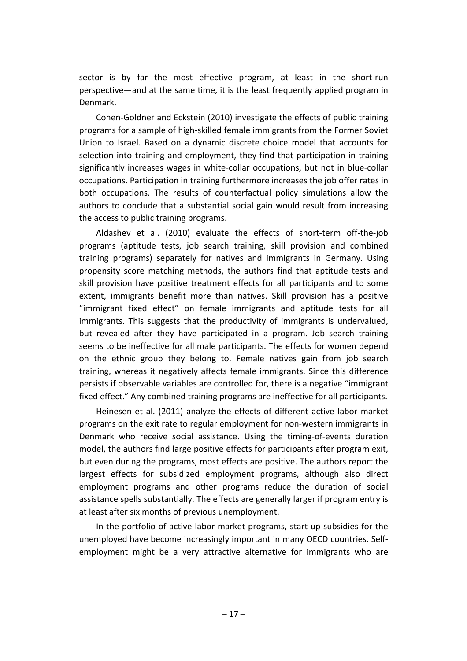sector is by far the most effective program, at least in the short-run perspective—and at the same time, it is the least frequently applied program in Denmark.

Cohen‐Goldner and Eckstein (2010) investigate the effects of public training programs for a sample of high‐skilled female immigrants from the Former Soviet Union to Israel. Based on a dynamic discrete choice model that accounts for selection into training and employment, they find that participation in training significantly increases wages in white-collar occupations, but not in blue-collar occupations. Participation in training furthermore increases the job offer rates in both occupations. The results of counterfactual policy simulations allow the authors to conclude that a substantial social gain would result from increasing the access to public training programs.

Aldashev et al. (2010) evaluate the effects of short‐term off‐the‐job programs (aptitude tests, job search training, skill provision and combined training programs) separately for natives and immigrants in Germany. Using propensity score matching methods, the authors find that aptitude tests and skill provision have positive treatment effects for all participants and to some extent, immigrants benefit more than natives. Skill provision has a positive "immigrant fixed effect" on female immigrants and aptitude tests for all immigrants. This suggests that the productivity of immigrants is undervalued, but revealed after they have participated in a program. Job search training seems to be ineffective for all male participants. The effects for women depend on the ethnic group they belong to. Female natives gain from job search training, whereas it negatively affects female immigrants. Since this difference persists if observable variables are controlled for, there is a negative "immigrant fixed effect." Any combined training programs are ineffective for all participants.

Heinesen et al. (2011) analyze the effects of different active labor market programs on the exit rate to regular employment for non‐western immigrants in Denmark who receive social assistance. Using the timing‐of‐events duration model, the authors find large positive effects for participants after program exit, but even during the programs, most effects are positive. The authors report the largest effects for subsidized employment programs, although also direct employment programs and other programs reduce the duration of social assistance spells substantially. The effects are generally larger if program entry is at least after six months of previous unemployment.

In the portfolio of active labor market programs, start‐up subsidies for the unemployed have become increasingly important in many OECD countries. Self‐ employment might be a very attractive alternative for immigrants who are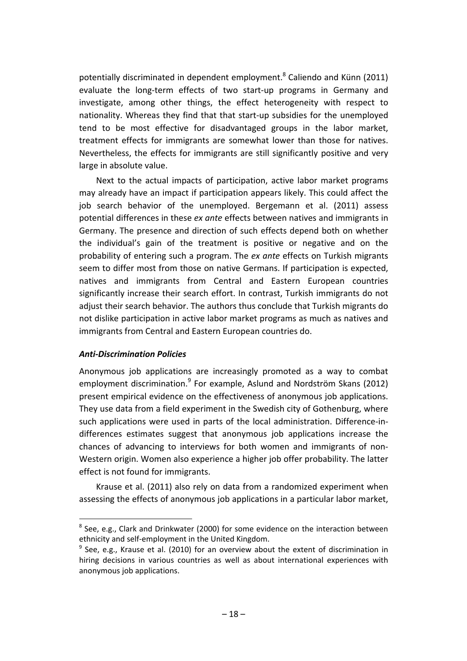potentially discriminated in dependent employment. $8$  Caliendo and Künn (2011) evaluate the long-term effects of two start-up programs in Germany and investigate, among other things, the effect heterogeneity with respect to nationality. Whereas they find that that start‐up subsidies for the unemployed tend to be most effective for disadvantaged groups in the labor market, treatment effects for immigrants are somewhat lower than those for natives. Nevertheless, the effects for immigrants are still significantly positive and very large in absolute value.

Next to the actual impacts of participation, active labor market programs may already have an impact if participation appears likely. This could affect the job search behavior of the unemployed. Bergemann et al. (2011) assess potential differences in these *ex ante* effects between natives and immigrants in Germany. The presence and direction of such effects depend both on whether the individual's gain of the treatment is positive or negative and on the probability of entering such a program. The *ex ante* effects on Turkish migrants seem to differ most from those on native Germans. If participation is expected, natives and immigrants from Central and Eastern European countries significantly increase their search effort. In contrast, Turkish immigrants do not adjust their search behavior. The authors thus conclude that Turkish migrants do not dislike participation in active labor market programs as much as natives and immigrants from Central and Eastern European countries do.

### *Anti‐Discrimination Policies*

 $\overline{a}$ 

Anonymous job applications are increasingly promoted as a way to combat employment discrimination.<sup>[9](#page-20-1)</sup> For example, Aslund and Nordström Skans (2012) present empirical evidence on the effectiveness of anonymous job applications. They use data from a field experiment in the Swedish city of Gothenburg, where such applications were used in parts of the local administration. Difference-indifferences estimates suggest that anonymous job applications increase the chances of advancing to interviews for both women and immigrants of non‐ Western origin. Women also experience a higher job offer probability. The latter effect is not found for immigrants.

Krause et al. (2011) also rely on data from a randomized experiment when assessing the effects of anonymous job applications in a particular labor market,

<span id="page-20-0"></span> $8$  See, e.g., Clark and Drinkwater (2000) for some evidence on the interaction between ethnicity and self-employment in the United Kingdom.

<span id="page-20-1"></span> $9$  See, e.g., Krause et al. (2010) for an overview about the extent of discrimination in hiring decisions in various countries as well as about international experiences with anonymous job applications.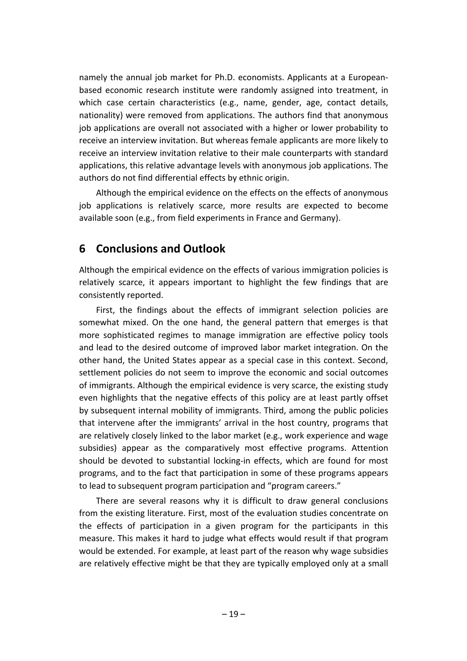namely the annual job market for Ph.D. economists. Applicants at a European‐ based economic research institute were randomly assigned into treatment, in which case certain characteristics (e.g., name, gender, age, contact details, nationality) were removed from applications. The authors find that anonymous job applications are overall not associated with a higher or lower probability to receive an interview invitation. But whereas female applicants are more likely to receive an interview invitation relative to their male counterparts with standard applications, this relative advantage levels with anonymous job applications. The authors do not find differential effects by ethnic origin.

Although the empirical evidence on the effects on the effects of anonymous job applications is relatively scarce, more results are expected to become available soon (e.g., from field experiments in France and Germany).

### **6 Conclusions and Outlook**

Although the empirical evidence on the effects of various immigration policies is relatively scarce, it appears important to highlight the few findings that are consistently reported.

First, the findings about the effects of immigrant selection policies are somewhat mixed. On the one hand, the general pattern that emerges is that more sophisticated regimes to manage immigration are effective policy tools and lead to the desired outcome of improved labor market integration. On the other hand, the United States appear as a special case in this context. Second, settlement policies do not seem to improve the economic and social outcomes of immigrants. Although the empirical evidence is very scarce, the existing study even highlights that the negative effects of this policy are at least partly offset by subsequent internal mobility of immigrants. Third, among the public policies that intervene after the immigrants' arrival in the host country, programs that are relatively closely linked to the labor market (e.g., work experience and wage subsidies) appear as the comparatively most effective programs. Attention should be devoted to substantial locking‐in effects, which are found for most programs, and to the fact that participation in some of these programs appears to lead to subsequent program participation and "program careers."

There are several reasons why it is difficult to draw general conclusions from the existing literature. First, most of the evaluation studies concentrate on the effects of participation in a given program for the participants in this measure. This makes it hard to judge what effects would result if that program would be extended. For example, at least part of the reason why wage subsidies are relatively effective might be that they are typically employed only at a small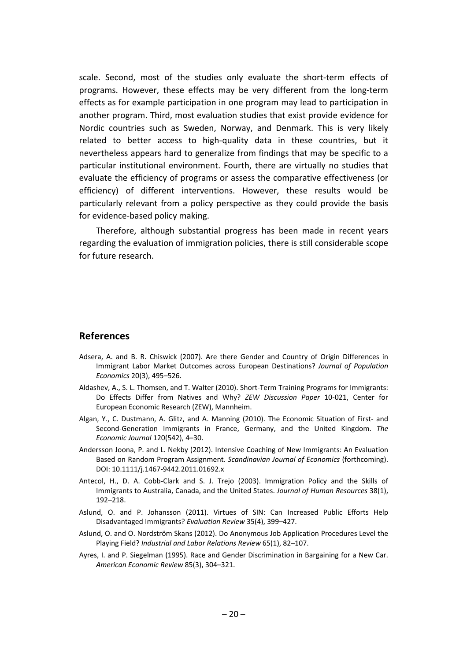scale. Second, most of the studies only evaluate the short-term effects of programs. However, these effects may be very different from the long‐term effects as for example participation in one program may lead to participation in another program. Third, most evaluation studies that exist provide evidence for Nordic countries such as Sweden, Norway, and Denmark. This is very likely related to better access to high‐quality data in these countries, but it nevertheless appears hard to generalize from findings that may be specific to a particular institutional environment. Fourth, there are virtually no studies that evaluate the efficiency of programs or assess the comparative effectiveness (or efficiency) of different interventions. However, these results would be particularly relevant from a policy perspective as they could provide the basis for evidence‐based policy making.

Therefore, although substantial progress has been made in recent years regarding the evaluation of immigration policies, there is still considerable scope for future research.

#### **References**

- Adsera, A. and B. R. Chiswick (2007). Are there Gender and Country of Origin Differences in Immigrant Labor Market Outcomes across European Destinations? *Journal of Population Economics* 20(3), 495–526.
- Aldashev, A., S. L. Thomsen, and T. Walter (2010). Short‐Term Training Programs for Immigrants: Do Effects Differ from Natives and Why? *ZEW Discussion Paper* 10‐021, Center for European Economic Research (ZEW), Mannheim.
- Algan, Y., C. Dustmann, A. Glitz, and A. Manning (2010). The Economic Situation of First- and Second‐Generation Immigrants in France, Germany, and the United Kingdom. *The Economic Journal* 120(542), 4–30.
- Andersson Joona, P. and L. Nekby (2012). Intensive Coaching of New Immigrants: An Evaluation Based on Random Program Assignment. *Scandinavian Journal of Economics* (forthcoming). DOI: 10.1111/j.1467‐9442.2011.01692.x
- Antecol, H., D. A. Cobb‐Clark and S. J. Trejo (2003). Immigration Policy and the Skills of Immigrants to Australia, Canada, and the United States. *Journal of Human Resources* 38(1), 192–218.
- Aslund, O. and P. Johansson (2011). Virtues of SIN: Can Increased Public Efforts Help Disadvantaged Immigrants? *Evaluation Review* 35(4), 399–427.
- Aslund, O. and O. Nordström Skans (2012). Do Anonymous Job Application Procedures Level the Playing Field? *Industrial and Labor Relations Review* 65(1), 82–107.
- Ayres, I. and P. Siegelman (1995). Race and Gender Discrimination in Bargaining for a New Car. *American Economic Review* 85(3), 304–321.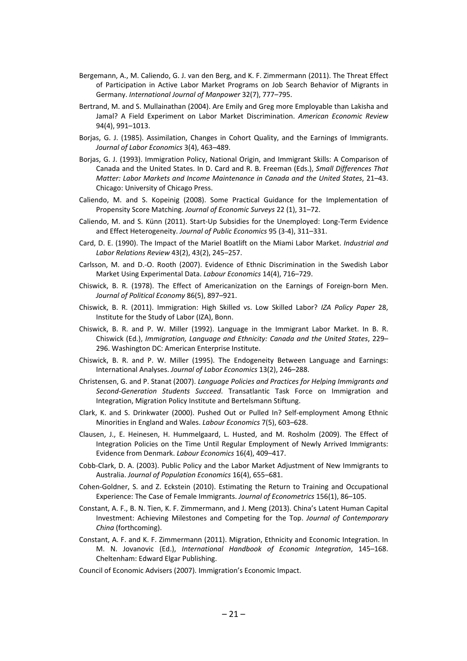- Bergemann, A., M. Caliendo, G. J. van den Berg, and K. F. Zimmermann (2011). The Threat Effect of Participation in Active Labor Market Programs on Job Search Behavior of Migrants in Germany. *International Journal of Manpower* 32(7), 777–795.
- Bertrand, M. and S. Mullainathan (2004). Are Emily and Greg more Employable than Lakisha and Jamal? A Field Experiment on Labor Market Discrimination. *American Economic Review* 94(4), 991–1013.
- Borjas, G. J. (1985). Assimilation, Changes in Cohort Quality, and the Earnings of Immigrants. *Journal of Labor Economics* 3(4), 463–489.
- Borjas, G. J. (1993). Immigration Policy, National Origin, and Immigrant Skills: A Comparison of Canada and the United States. In D. Card and R. B. Freeman (Eds.), *Small Differences That Matter: Labor Markets and Income Maintenance in Canada and the United States*, 21–43. Chicago: University of Chicago Press.
- Caliendo, M. and S. Kopeinig (2008). Some Practical Guidance for the Implementation of Propensity Score Matching. *Journal of Economic Surveys* 22 (1), 31–72.
- Caliendo, M. and S. Künn (2011). Start‐Up Subsidies for the Unemployed: Long‐Term Evidence and Effect Heterogeneity. *Journal of Public Economics* 95 (3‐4), 311–331.
- Card, D. E. (1990). The Impact of the Mariel Boatlift on the Miami Labor Market. *Industrial and Labor Relations Review* 43(2), 43(2), 245–257.
- Carlsson, M. and D.‐O. Rooth (2007). Evidence of Ethnic Discrimination in the Swedish Labor Market Using Experimental Data. *Labour Economics* 14(4), 716–729.
- Chiswick, B. R. (1978). The Effect of Americanization on the Earnings of Foreign‐born Men. *Journal of Political Economy* 86(5), 897–921.
- Chiswick, B. R. (2011). Immigration: High Skilled vs. Low Skilled Labor? *IZA Policy Paper* 28, Institute for the Study of Labor (IZA), Bonn.
- Chiswick, B. R. and P. W. Miller (1992). Language in the Immigrant Labor Market. In B. R. Chiswick (Ed.), *Immigration, Language and Ethnicity: Canada and the United States*, 229– 296. Washington DC: American Enterprise Institute.
- Chiswick, B. R. and P. W. Miller (1995). The Endogeneity Between Language and Earnings: International Analyses. *Journal of Labor Economics* 13(2), 246–288.
- Christensen, G. and P. Stanat (2007). *Language Policies and Practices for Helping Immigrants and Second‐Generation Students Succeed*. Transatlantic Task Force on Immigration and Integration, Migration Policy Institute and Bertelsmann Stiftung.
- Clark, K. and S. Drinkwater (2000). Pushed Out or Pulled In? Self‐employment Among Ethnic Minorities in England and Wales. *Labour Economics* 7(5), 603–628.
- Clausen, J., E. Heinesen, H. Hummelgaard, L. Husted, and M. Rosholm (2009). The Effect of Integration Policies on the Time Until Regular Employment of Newly Arrived Immigrants: Evidence from Denmark. *Labour Economics* 16(4), 409–417.
- Cobb‐Clark, D. A. (2003). Public Policy and the Labor Market Adjustment of New Immigrants to Australia. *Journal of Population Economics* 16(4), 655–681.
- Cohen‐Goldner, S. and Z. Eckstein (2010). Estimating the Return to Training and Occupational Experience: The Case of Female Immigrants. *Journal of Econometrics* 156(1), 86–105.
- Constant, A. F., B. N. Tien, K. F. Zimmermann, and J. Meng (2013). China's Latent Human Capital Investment: Achieving Milestones and Competing for the Top. *Journal of Contemporary China* (forthcoming).
- Constant, A. F. and K. F. Zimmermann (2011). Migration, Ethnicity and Economic Integration. In M. N. Jovanovic (Ed.), *International Handbook of Economic Integration*, 145–168. Cheltenham: Edward Elgar Publishing.
- Council of Economic Advisers (2007). Immigration's Economic Impact.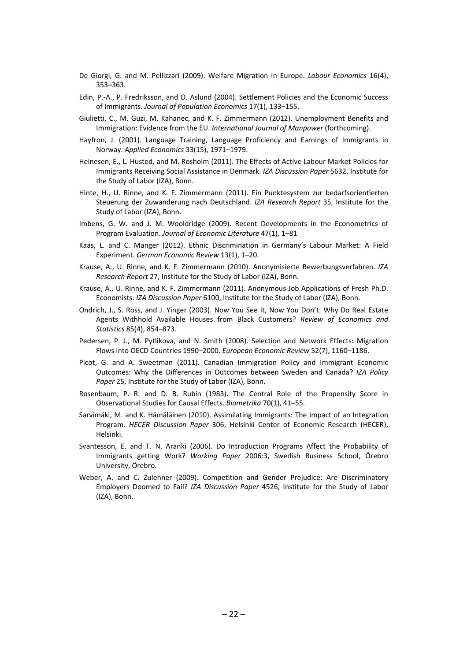- De Giorgi, G. and M. Pellizzari (2009). Welfare Migration in Europe. *Labour Economics* 16(4), 353–363.
- Edin, P.‐A., P. Fredriksson, and O. Aslund (2004). Settlement Policies and the Economic Success of Immigrants. *Journal of Population Economics* 17(1), 133–155.
- Giulietti, C., M. Guzi, M. Kahanec, and K. F. Zimmermann (2012). Unemployment Benefits and Immigration: Evidence from the EU. *International Journal of Manpower* (forthcoming).
- Hayfron, J. (2001). Language Training, Language Proficiency and Earnings of Immigrants in Norway. *Applied Economics* 33(15), 1971–1979.
- Heinesen, E., L. Husted, and M. Rosholm (2011). The Effects of Active Labour Market Policies for Immigrants Receiving Social Assistance in Denmark. *IZA Discussion Paper* 5632, Institute for the Study of Labor (IZA), Bonn.
- Hinte, H., U. Rinne, and K. F. Zimmermann (2011). Ein Punktesystem zur bedarfsorientierten Steuerung der Zuwanderung nach Deutschland. *IZA Research Report* 35, Institute for the Study of Labor (IZA), Bonn.
- Imbens, G. W. and J. M. Wooldridge (2009). Recent Developments in the Econometrics of Program Evaluation. *Journal of Economic Literature* 47(1), 1–81
- Kaas, L. and C. Manger (2012). Ethnic Discrimination in Germany's Labour Market: A Field Experiment. *German Economic Review* 13(1), 1–20.
- Krause, A., U. Rinne, and K. F. Zimmermann (2010). Anonymisierte Bewerbungsverfahren. *IZA Research Report* 27, Institute for the Study of Labor (IZA), Bonn.
- Krause, A., U. Rinne, and K. F. Zimmermann (2011). Anonymous Job Applications of Fresh Ph.D. Economists. *IZA Discussion Paper* 6100, Institute for the Study of Labor (IZA), Bonn.
- Ondrich, J., S. Ross, and J. Yinger (2003). Now You See It, Now You Don't: Why Do Real Estate Agents Withhold Available Houses from Black Customers? *Review of Economics and Statistics* 85(4), 854–873.
- Pedersen, P. J., M. Pytlikova, and N. Smith (2008). Selection and Network Effects: Migration Flows into OECD Countries 1990–2000. *European Economic Review* 52(7), 1160–1186.
- Picot, G. and A. Sweetman (2011). Canadian Immigration Policy and Immigrant Economic Outcomes: Why the Differences in Outcomes between Sweden and Canada? *IZA Policy Paper* 25, Institute for the Study of Labor (IZA), Bonn.
- Rosenbaum, P. R. and D. B. Rubin (1983). The Central Role of the Propensity Score in Observational Studies for Causal Effects. *Biometrika* 70(1), 41–55.
- Sarvimäki, M. and K. Hämäläinen (2010). Assimilating Immigrants: The Impact of an Integration Program. *HECER Discussion Paper* 306, Helsinki Center of Economic Research (HECER), Helsinki.
- Svantesson, E. and T. N. Aranki (2006). Do Introduction Programs Affect the Probability of Immigrants getting Work? *Working Paper* 2006:3, Swedish Business School, Örebro University, Örebro.
- Weber, A. and C. Zulehner (2009). Competition and Gender Prejudice: Are Discriminatory Employers Doomed to Fail? *IZA Discussion Paper* 4526, Institute for the Study of Labor (IZA), Bonn.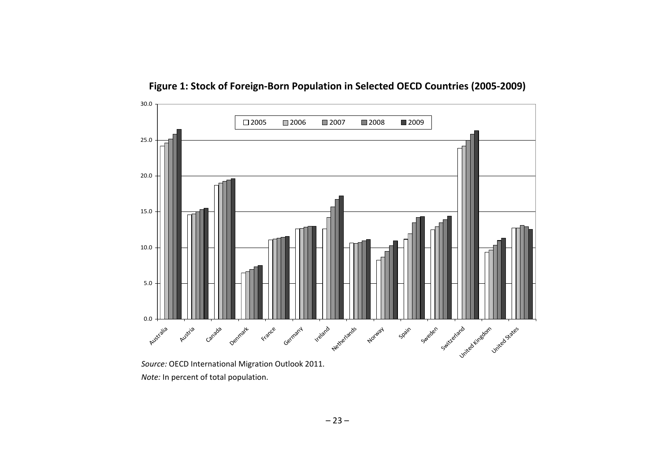

**Figure 1: Stock of Foreign‐Born Population in Selected OECD Countries (2005‐2009)**

*Note:* In percent of total population.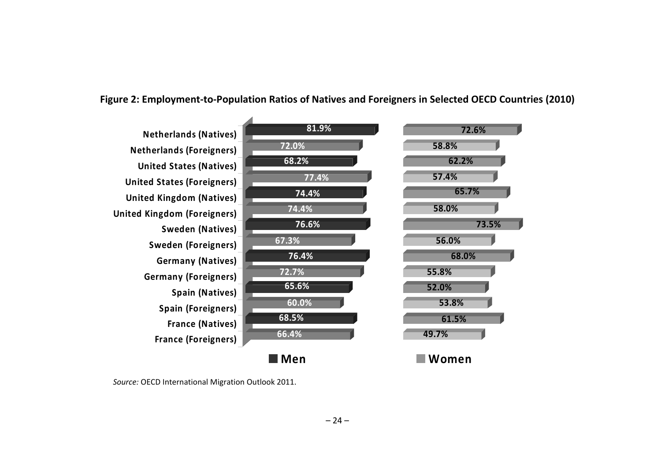### **Figure 2: Employment‐to‐Population Ratios of Natives and Foreigners in Selected OECD Countries (2010)**



*Source:* OECD International Migration Outlook 2011.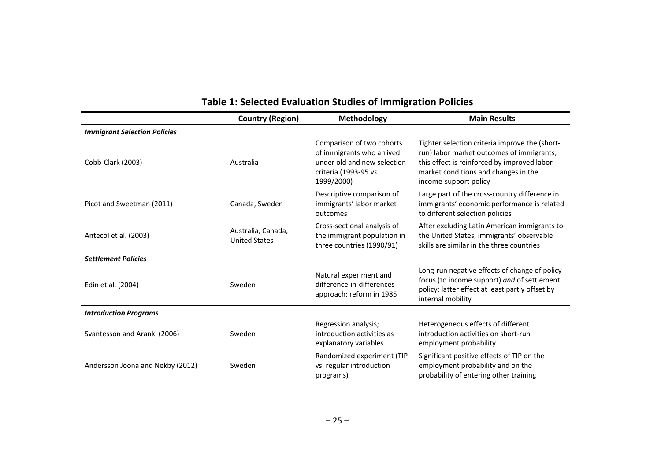|                                     | <b>Country (Region)</b>                    | Methodology                                                                                                                  | <b>Main Results</b>                                                                                                                                                                                         |
|-------------------------------------|--------------------------------------------|------------------------------------------------------------------------------------------------------------------------------|-------------------------------------------------------------------------------------------------------------------------------------------------------------------------------------------------------------|
| <b>Immigrant Selection Policies</b> |                                            |                                                                                                                              |                                                                                                                                                                                                             |
| Cobb-Clark (2003)                   | Australia                                  | Comparison of two cohorts<br>of immigrants who arrived<br>under old and new selection<br>criteria (1993-95 vs.<br>1999/2000) | Tighter selection criteria improve the (short-<br>run) labor market outcomes of immigrants;<br>this effect is reinforced by improved labor<br>market conditions and changes in the<br>income-support policy |
| Picot and Sweetman (2011)           | Canada, Sweden                             | Descriptive comparison of<br>immigrants' labor market<br>outcomes                                                            | Large part of the cross-country difference in<br>immigrants' economic performance is related<br>to different selection policies                                                                             |
| Antecol et al. (2003)               | Australia, Canada,<br><b>United States</b> | Cross-sectional analysis of<br>the immigrant population in<br>three countries (1990/91)                                      | After excluding Latin American immigrants to<br>the United States, immigrants' observable<br>skills are similar in the three countries                                                                      |
| <b>Settlement Policies</b>          |                                            |                                                                                                                              |                                                                                                                                                                                                             |
| Edin et al. (2004)                  | Sweden                                     | Natural experiment and<br>difference-in-differences<br>approach: reform in 1985                                              | Long-run negative effects of change of policy<br>focus (to income support) and of settlement<br>policy; latter effect at least partly offset by<br>internal mobility                                        |
| <b>Introduction Programs</b>        |                                            |                                                                                                                              |                                                                                                                                                                                                             |
| Svantesson and Aranki (2006)        | Sweden                                     | Regression analysis;<br>introduction activities as<br>explanatory variables                                                  | Heterogeneous effects of different<br>introduction activities on short-run<br>employment probability                                                                                                        |
| Andersson Joona and Nekby (2012)    | Sweden                                     | Randomized experiment (TIP<br>vs. regular introduction<br>programs)                                                          | Significant positive effects of TIP on the<br>employment probability and on the<br>probability of entering other training                                                                                   |

### **Table 1: Selected Evaluation Studies of Immigration Policies**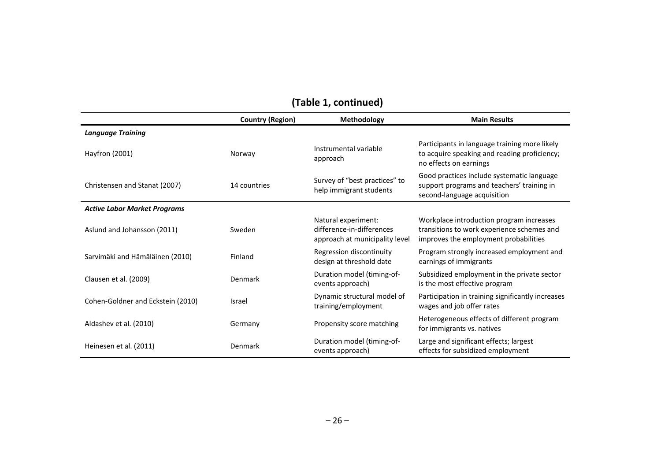|                                     | <b>Country (Region)</b> | Methodology                                                                        | <b>Main Results</b>                                                                                                             |  |
|-------------------------------------|-------------------------|------------------------------------------------------------------------------------|---------------------------------------------------------------------------------------------------------------------------------|--|
| <b>Language Training</b>            |                         |                                                                                    |                                                                                                                                 |  |
| Hayfron (2001)                      | Norway                  | Instrumental variable<br>approach                                                  | Participants in language training more likely<br>to acquire speaking and reading proficiency;<br>no effects on earnings         |  |
| Christensen and Stanat (2007)       | 14 countries            | Survey of "best practices" to<br>help immigrant students                           | Good practices include systematic language<br>support programs and teachers' training in<br>second-language acquisition         |  |
| <b>Active Labor Market Programs</b> |                         |                                                                                    |                                                                                                                                 |  |
| Aslund and Johansson (2011)         | Sweden                  | Natural experiment:<br>difference-in-differences<br>approach at municipality level | Workplace introduction program increases<br>transitions to work experience schemes and<br>improves the employment probabilities |  |
| Sarvimäki and Hämäläinen (2010)     | Finland                 | Regression discontinuity<br>design at threshold date                               | Program strongly increased employment and<br>earnings of immigrants                                                             |  |
| Clausen et al. (2009)               | Denmark                 | Duration model (timing-of-<br>events approach)                                     | Subsidized employment in the private sector<br>is the most effective program                                                    |  |
| Cohen-Goldner and Eckstein (2010)   | <b>Israel</b>           | Dynamic structural model of<br>training/employment                                 | Participation in training significantly increases<br>wages and job offer rates                                                  |  |
| Aldashev et al. (2010)              | Germany                 | Propensity score matching                                                          | Heterogeneous effects of different program<br>for immigrants vs. natives                                                        |  |
| Heinesen et al. (2011)              | Denmark                 | Duration model (timing-of-<br>events approach)                                     | Large and significant effects; largest<br>effects for subsidized employment                                                     |  |

# **(Table 1, continued)**